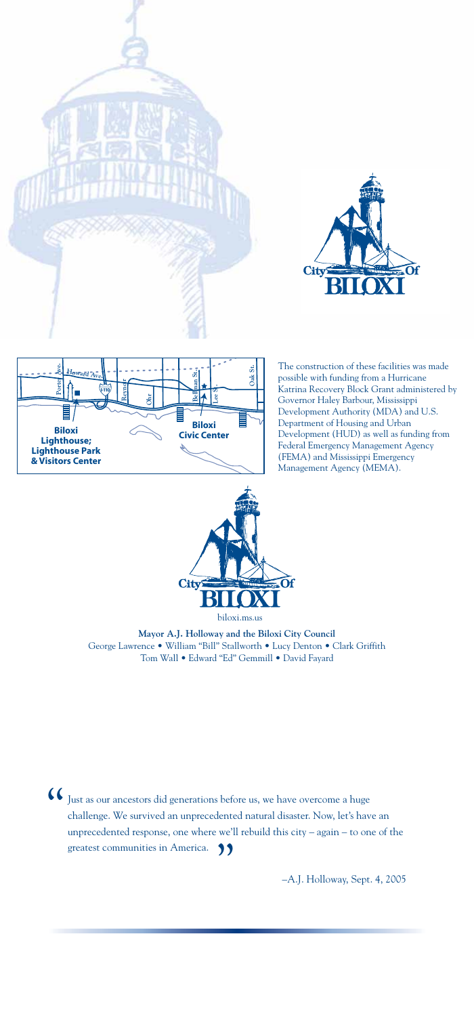

Just as our ancestors did generations before us, we have overcome a huge challenge. We survived an unprecedented natural disaster. Now, let's have an unprecedented response, one where we'll rebuild this city – again – to one of the greatest communities in America.  $\bigcirc$ "

–A.J. Holloway, Sept. 4, 2005